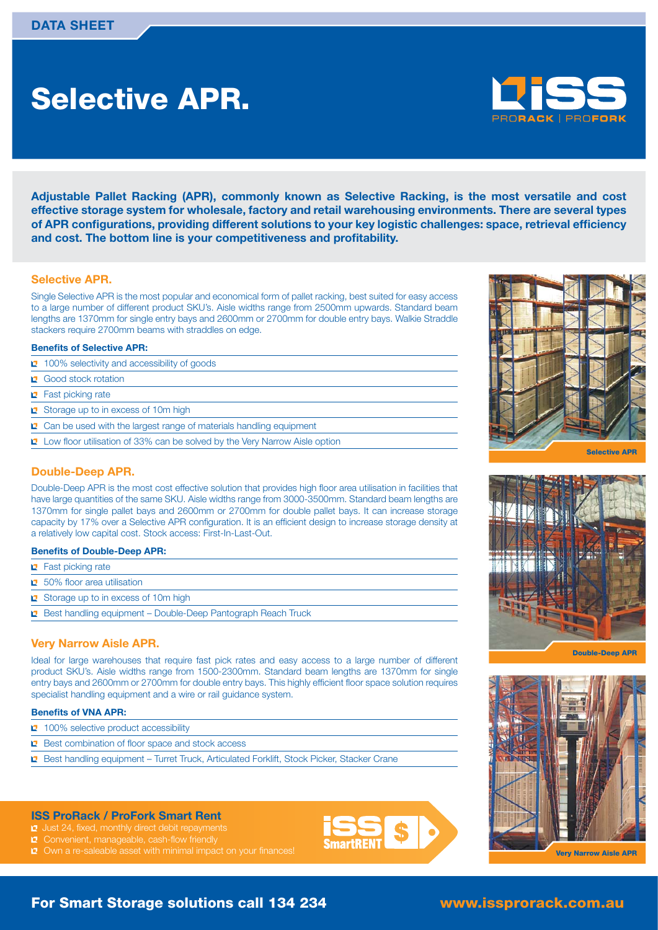# **Selective APR.**



**Adjustable Pallet Racking (APR), commonly known as Selective Racking, is the most versatile and cost effective storage system for wholesale, factory and retail warehousing environments. There are several types**  of APR configurations, providing different solutions to your key logistic challenges: space, retrieval efficiency and cost. The bottom line is your competitiveness and profitability.

#### **Selective APR.**

Single Selective APR is the most popular and economical form of pallet racking, best suited for easy access to a large number of different product SKU's. Aisle widths range from 2500mm upwards. Standard beam lengths are 1370mm for single entry bays and 2600mm or 2700mm for double entry bays. Walkie Straddle stackers require 2700mm beams with straddles on edge.

#### **Benefits of Selective APR:**

- 100% selectivity and accessibility of goods
- **Q** Good stock rotation
- **P** Fast picking rate
- Storage up to in excess of 10m high
- <sup>2</sup> Can be used with the largest range of materials handling equipment
- **L** Low floor utilisation of 33% can be solved by the Very Narrow Aisle option

#### **Double-Deep APR.**

Double-Deep APR is the most cost effective solution that provides high floor area utilisation in facilities that have large quantities of the same SKU. Aisle widths range from 3000-3500mm. Standard beam lengths are 1370mm for single pallet bays and 2600mm or 2700mm for double pallet bays. It can increase storage capacity by 17% over a Selective APR configuration. It is an efficient design to increase storage density at a relatively low capital cost. Stock access: First-In-Last-Out.

#### **Benefits of Double-Deep APR:**

- **E** Fast picking rate
- $\sqrt{2}$  50% floor area utilisation
- Storage up to in excess of 10m high
- **E** Best handling equipment Double-Deep Pantograph Reach Truck

#### **Very Narrow Aisle APR.**

Ideal for large warehouses that require fast pick rates and easy access to a large number of different product SKU's. Aisle widths range from 1500-2300mm. Standard beam lengths are 1370mm for single entry bays and 2600mm or 2700mm for double entry bays. This highly efficient floor space solution requires specialist handling equipment and a wire or rail guidance system.

#### **Benefits of VNA APR:**

- 100% selective product accessibility
- $\mathbf 2$  Best combination of floor space and stock access
- Best handling equipment Turret Truck, Articulated Forklift, Stock Picker, Stacker Crane

#### **ISS ProRack / ProFork Smart Rent**

- $\Box$  Just 24, fixed, monthly direct debit repayments
- Convenient, manageable, cash-flow friendly
- $\sqrt{2}$  Own a re-saleable asset with minimal impact on your finances!









**Very Narrow Aisle APR**

## **For Smart Storage solutions call 134 234**